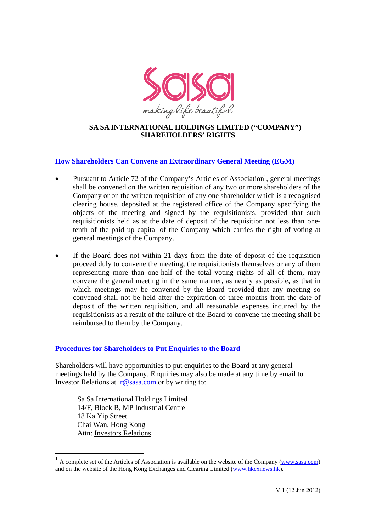

## **SA SA INTERNATIONAL HOLDINGS LIMITED ("COMPANY") SHAREHOLDERS' RIGHTS**

# **How Shareholders Can Convene an Extraordinary General Meeting (EGM)**

- Pursuant to Article 72 of the Company's Articles of Association<sup>1</sup>, general meetings shall be convened on the written requisition of any two or more shareholders of the Company or on the written requisition of any one shareholder which is a recognised clearing house, deposited at the registered office of the Company specifying the objects of the meeting and signed by the requisitionists, provided that such requisitionists held as at the date of deposit of the requisition not less than onetenth of the paid up capital of the Company which carries the right of voting at general meetings of the Company.
- If the Board does not within 21 days from the date of deposit of the requisition proceed duly to convene the meeting, the requisitionists themselves or any of them representing more than one-half of the total voting rights of all of them, may convene the general meeting in the same manner, as nearly as possible, as that in which meetings may be convened by the Board provided that any meeting so convened shall not be held after the expiration of three months from the date of deposit of the written requisition, and all reasonable expenses incurred by the requisitionists as a result of the failure of the Board to convene the meeting shall be reimbursed to them by the Company.

# **Procedures for Shareholders to Put Enquiries to the Board**

Shareholders will have opportunities to put enquiries to the Board at any general meetings held by the Company. Enquiries may also be made at any time by email to Investor Relations at ir@sasa.com or by writing to:

Sa Sa International Holdings Limited 14/F, Block B, MP Industrial Centre 18 Ka Yip Street Chai Wan, Hong Kong Attn: Investors Relations

 $1$  A complete set of the Articles of Association is available on the website of the Company (www.sasa.com) and on the website of the Hong Kong Exchanges and Clearing Limited (www.hkexnews.hk).